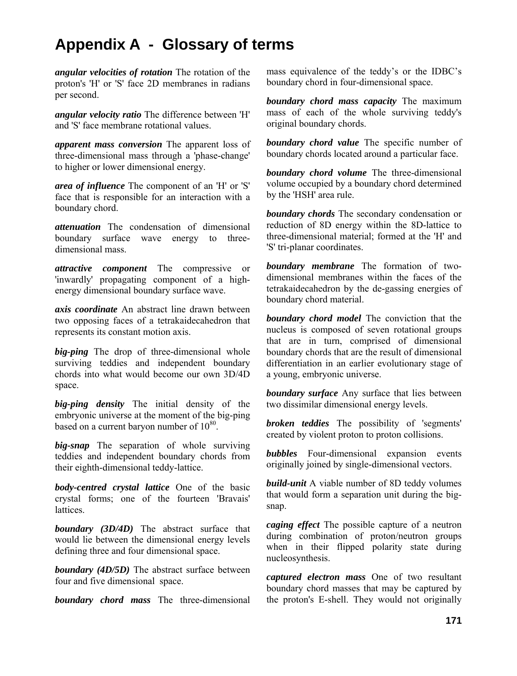## **Appendix A - Glossary of terms**

*angular velocities of rotation* The rotation of the proton's 'H' or 'S' face 2D membranes in radians per second.

*angular velocity ratio* The difference between 'H' and 'S' face membrane rotational values.

*apparent mass conversion* The apparent loss of three-dimensional mass through a 'phase-change' to higher or lower dimensional energy.

*area of influence* The component of an 'H' or 'S' face that is responsible for an interaction with a boundary chord.

*attenuation* The condensation of dimensional boundary surface wave energy to threedimensional mass.

*attractive component* The compressive or 'inwardly' propagating component of a highenergy dimensional boundary surface wave.

*axis coordinate* An abstract line drawn between two opposing faces of a tetrakaidecahedron that represents its constant motion axis.

*big-ping* The drop of three-dimensional whole surviving teddies and independent boundary chords into what would become our own 3D/4D space.

*big-ping density* The initial density of the embryonic universe at the moment of the big-ping based on a current baryon number of  $10^{80}$ .

*big-snap* The separation of whole surviving teddies and independent boundary chords from their eighth-dimensional teddy-lattice.

*body-centred crystal lattice* One of the basic crystal forms; one of the fourteen 'Bravais' **lattices** 

*boundary (3D/4D)* The abstract surface that would lie between the dimensional energy levels defining three and four dimensional space.

*boundary (4D/5D)* The abstract surface between four and five dimensional space.

*boundary chord mass* The three-dimensional

mass equivalence of the teddy's or the IDBC's boundary chord in four-dimensional space.

*boundary chord mass capacity* The maximum mass of each of the whole surviving teddy's original boundary chords.

*boundary chord value* The specific number of boundary chords located around a particular face.

*boundary chord volume* The three-dimensional volume occupied by a boundary chord determined by the 'HSH' area rule.

*boundary chords* The secondary condensation or reduction of 8D energy within the 8D-lattice to three-dimensional material; formed at the 'H' and 'S' tri-planar coordinates.

*boundary membrane* The formation of twodimensional membranes within the faces of the tetrakaidecahedron by the de-gassing energies of boundary chord material.

*boundary chord model* The conviction that the nucleus is composed of seven rotational groups that are in turn, comprised of dimensional boundary chords that are the result of dimensional differentiation in an earlier evolutionary stage of a young, embryonic universe.

*boundary surface* Any surface that lies between two dissimilar dimensional energy levels.

*broken teddies* The possibility of 'segments' created by violent proton to proton collisions.

*bubbles* Four-dimensional expansion events originally joined by single-dimensional vectors.

*build-unit* A viable number of 8D teddy volumes that would form a separation unit during the bigsnap.

*caging effect* The possible capture of a neutron during combination of proton/neutron groups when in their flipped polarity state during nucleosynthesis.

*captured electron mass* One of two resultant boundary chord masses that may be captured by the proton's E-shell. They would not originally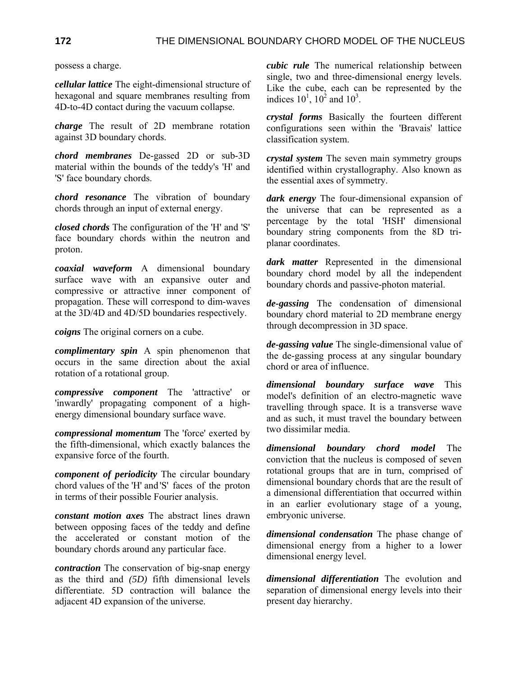possess a charge.

*cellular lattice* The eight-dimensional structure of hexagonal and square membranes resulting from 4D-to-4D contact during the vacuum collapse.

*charge* The result of 2D membrane rotation against 3D boundary chords.

*chord membranes* De-gassed 2D or sub-3D material within the bounds of the teddy's 'H' and 'S' face boundary chords.

*chord resonance* The vibration of boundary chords through an input of external energy.

*closed chords* The configuration of the 'H' and 'S' face boundary chords within the neutron and proton.

*coaxial waveform* A dimensional boundary surface wave with an expansive outer and compressive or attractive inner component of propagation. These will correspond to dim-waves at the 3D/4D and 4D/5D boundaries respectively.

*coigns* The original corners on a cube.

*complimentary spin* A spin phenomenon that occurs in the same direction about the axial rotation of a rotational group.

*compressive component* The 'attractive' or 'inwardly' propagating component of a highenergy dimensional boundary surface wave.

*compressional momentum* The 'force' exerted by the fifth-dimensional, which exactly balances the expansive force of the fourth.

*component of periodicity* The circular boundary chord values of the 'H' and 'S' faces of the proton in terms of their possible Fourier analysis.

*constant motion axes* The abstract lines drawn between opposing faces of the teddy and define the accelerated or constant motion of the boundary chords around any particular face.

*contraction* The conservation of big-snap energy as the third and *(5D)* fifth dimensional levels differentiate. 5D contraction will balance the adjacent 4D expansion of the universe.

*cubic rule* The numerical relationship between single, two and three-dimensional energy levels. Like the cube, each can be represented by the indices  $10^1$ ,  $10^2$  and  $10^3$ .

*crystal forms* Basically the fourteen different configurations seen within the 'Bravais' lattice classification system.

*crystal system* The seven main symmetry groups identified within crystallography. Also known as the essential axes of symmetry.

*dark energy* The four-dimensional expansion of the universe that can be represented as a percentage by the total 'HSH' dimensional boundary string components from the 8D triplanar coordinates.

*dark matter* Represented in the dimensional boundary chord model by all the independent boundary chords and passive-photon material.

*de-gassing* The condensation of dimensional boundary chord material to 2D membrane energy through decompression in 3D space.

*de-gassing value* The single-dimensional value of the de-gassing process at any singular boundary chord or area of influence.

*dimensional boundary surface wave* This model's definition of an electro-magnetic wave travelling through space. It is a transverse wave and as such, it must travel the boundary between two dissimilar media.

*dimensional boundary chord model* The conviction that the nucleus is composed of seven rotational groups that are in turn, comprised of dimensional boundary chords that are the result of a dimensional differentiation that occurred within in an earlier evolutionary stage of a young, embryonic universe.

*dimensional condensation* The phase change of dimensional energy from a higher to a lower dimensional energy level.

*dimensional differentiation* The evolution and separation of dimensional energy levels into their present day hierarchy.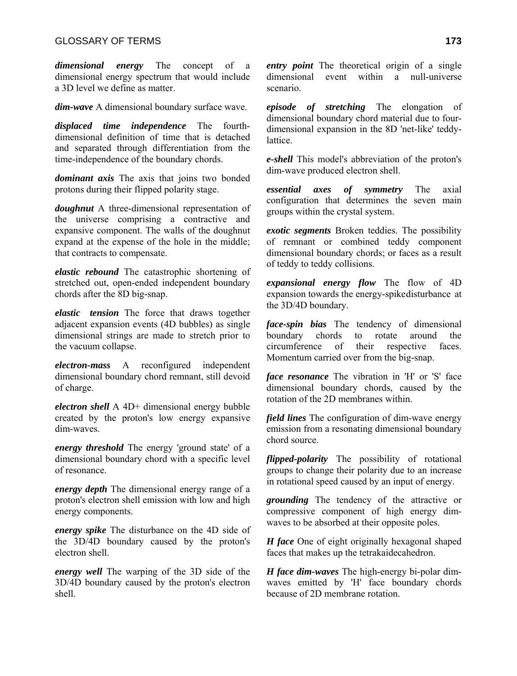*dimensional energy* The concept of a dimensional energy spectrum that would include a 3D level we define as matter.

*dim-wave* A dimensional boundary surface wave.

*displaced time independence* The fourthdimensional definition of time that is detached and separated through differentiation from the time-independence of the boundary chords.

*dominant axis* The axis that joins two bonded protons during their flipped polarity stage.

*doughnut* A three-dimensional representation of the universe comprising a contractive and expansive component. The walls of the doughnut expand at the expense of the hole in the middle; that contracts to compensate.

*elastic rebound* The catastrophic shortening of stretched out, open-ended independent boundary chords after the 8D big-snap.

*elastic tension* The force that draws together adjacent expansion events (4D bubbles) as single dimensional strings are made to stretch prior to the vacuum collapse.

*electron-mass* A reconfigured independent dimensional boundary chord remnant, still devoid of charge.

*electron shell* A 4D+ dimensional energy bubble created by the proton's low energy expansive dim-waves.

*energy threshold* The energy 'ground state' of a dimensional boundary chord with a specific level of resonance.

*energy depth* The dimensional energy range of a proton's electron shell emission with low and high energy components.

*energy spike* The disturbance on the 4D side of the 3D/4D boundary caused by the proton's electron shell.

*energy well* The warping of the 3D side of the 3D/4D boundary caused by the proton's electron shell.

*entry point* The theoretical origin of a single dimensional event within a null-universe scenario.

*episode of stretching* The elongation of dimensional boundary chord material due to fourdimensional expansion in the 8D 'net-like' teddylattice.

*e-shell* This model's abbreviation of the proton's dim-wave produced electron shell.

*essential axes of symmetry* The axial configuration that determines the seven main groups within the crystal system.

*exotic segments* Broken teddies. The possibility of remnant or combined teddy component dimensional boundary chords; or faces as a result of teddy to teddy collisions.

*expansional energy flow* The flow of 4D expansion towards the energy-spike disturbance at the 3D/4D boundary.

*face-spin bias* The tendency of dimensional boundary chords to rotate around the circumference of their respective faces. Momentum carried over from the big-snap.

*face resonance* The vibration in 'H' or 'S' face dimensional boundary chords, caused by the rotation of the 2D membranes within.

*field lines* The configuration of dim-wave energy emission from a resonating dimensional boundary chord source.

*flipped-polarity* The possibility of rotational groups to change their polarity due to an increase in rotational speed caused by an input of energy.

*grounding* The tendency of the attractive or compressive component of high energy dimwaves to be absorbed at their opposite poles.

*H face* One of eight originally hexagonal shaped faces that makes up the tetrakaidecahedron.

*H face dim-waves* The high-energy bi-polar dimwaves emitted by 'H' face boundary chords because of 2D membrane rotation.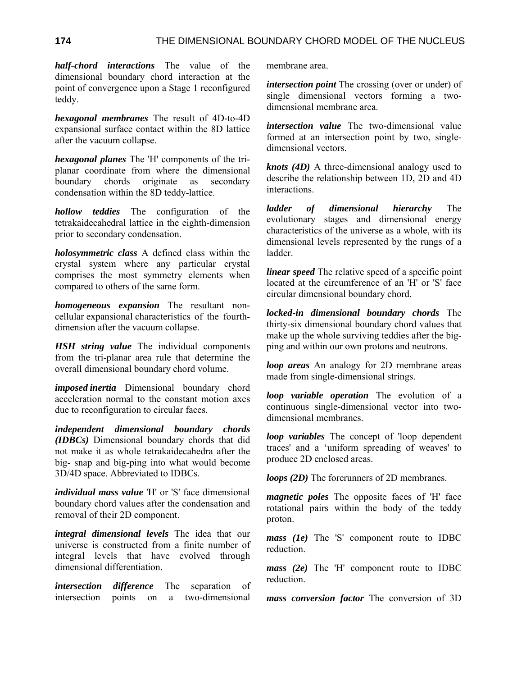*half-chord interactions* The value of the dimensional boundary chord interaction at the point of convergence upon a Stage 1 reconfigured teddy.

*hexagonal membranes* The result of 4D-to-4D expansional surface contact within the 8D lattice after the vacuum collapse.

*hexagonal planes* The 'H' components of the triplanar coordinate from where the dimensional boundary chords originate as secondary condensation within the 8D teddy-lattice.

*hollow teddies* The configuration of the tetrakaidecahedral lattice in the eighth-dimension prior to secondary condensation.

*holosymmetric class* A defined class within the crystal system where any particular crystal comprises the most symmetry elements when compared to others of the same form.

*homogeneous expansion* The resultant noncellular expansional characteristics of the fourthdimension after the vacuum collapse.

*HSH string value* The individual components from the tri-planar area rule that determine the overall dimensional boundary chord volume.

*imposed inertia* Dimensional boundary chord acceleration normal to the constant motion axes due to reconfiguration to circular faces.

*independent dimensional boundary chords (IDBCs)* Dimensional boundary chords that did not make it as whole tetrakaidecahedra after the big- snap and big-ping into what would become 3D/4D space. Abbreviated to IDBCs.

*individual mass value* 'H' or 'S' face dimensional boundary chord values after the condensation and removal of their 2D component.

*integral dimensional levels* The idea that our universe is constructed from a finite number of integral levels that have evolved through dimensional differentiation.

*intersection difference* The separation of intersection points on a two-dimensional membrane area.

*intersection point* The crossing (over or under) of single dimensional vectors forming a twodimensional membrane area.

*intersection value* The two-dimensional value formed at an intersection point by two, singledimensional vectors.

*knots (4D)* A three-dimensional analogy used to describe the relationship between 1D, 2D and 4D interactions.

*ladder of dimensional hierarchy* The evolutionary stages and dimensional energy characteristics of the universe as a whole, with its dimensional levels represented by the rungs of a ladder.

*linear speed* The relative speed of a specific point located at the circumference of an 'H' or 'S' face circular dimensional boundary chord.

*locked-in dimensional boundary chords* The thirty-six dimensional boundary chord values that make up the whole surviving teddies after the bigping and within our own protons and neutrons.

*loop areas* An analogy for 2D membrane areas made from single-dimensional strings.

*loop variable operation* The evolution of a continuous single-dimensional vector into twodimensional membranes.

*loop variables* The concept of 'loop dependent traces' and a 'uniform spreading of weaves' to produce 2D enclosed areas.

*loops (2D)* The forerunners of 2D membranes.

*magnetic poles* The opposite faces of 'H' face rotational pairs within the body of the teddy proton.

*mass (1e)* The 'S' component route to IDBC reduction.

*mass (2e)* The 'H' component route to IDBC reduction.

*mass conversion factor* The conversion of 3D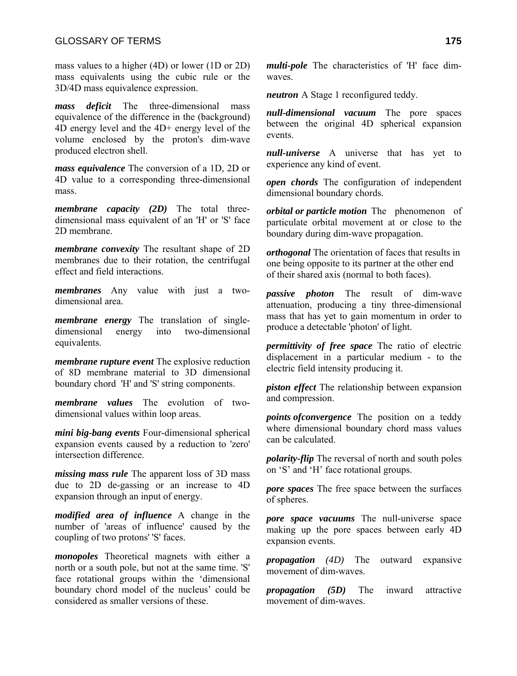mass values to a higher (4D) or lower (1D or 2D) mass equivalents using the cubic rule or the 3D/4D mass equivalence expression.

*mass deficit* The three-dimensional mass equivalence of the difference in the (background) 4D energy level and the 4D+ energy level of the volume enclosed by the proton's dim-wave produced electron shell.

*mass equivalence* The conversion of a 1D, 2D or 4D value to a corresponding three-dimensional mass.

*membrane capacity (2D)* The total threedimensional mass equivalent of an 'H' or 'S' face 2D membrane.

*membrane convexity* The resultant shape of 2D membranes due to their rotation, the centrifugal effect and field interactions.

*membranes* Any value with just a twodimensional area.

*membrane energy* The translation of singledimensional energy into two-dimensional equivalents.

*membrane rupture event* The explosive reduction of 8D membrane material to 3D dimensional boundary chord 'H' and 'S' string components.

*membrane values* The evolution of twodimensional values within loop areas.

*mini big-bang events* Four-dimensional spherical expansion events caused by a reduction to 'zero' intersection difference.

*missing mass rule* The apparent loss of 3D mass due to 2D de-gassing or an increase to 4D expansion through an input of energy.

*modified area of influence* A change in the number of 'areas of influence' caused by the coupling of two protons' 'S' faces.

*monopoles* Theoretical magnets with either a north or a south pole, but not at the same time. 'S' face rotational groups within the 'dimensional boundary chord model of the nucleus' could be considered as smaller versions of these.

*multi-pole* The characteristics of 'H' face dimwaves.

*neutron* A Stage 1 reconfigured teddy.

*null-dimensional vacuum* The pore spaces between the original 4D spherical expansion events.

*null-universe* A universe that has yet to experience any kind of event.

*open chords* The configuration of independent dimensional boundary chords.

*orbital or particle motion* The phenomenon of particulate orbital movement at or close to the boundary during dim-wave propagation.

*orthogonal* The orientation of faces that results in one being opposite to its partner at the other end of their shared axis (normal to both faces).

*passive photon* The result of dim-wave attenuation, producing a tiny three-dimensional mass that has yet to gain momentum in order to produce a detectable 'photon' of light.

*permittivity of free space* The ratio of electric displacement in a particular medium - to the electric field intensity producing it.

*piston effect* The relationship between expansion and compression.

*points ofconvergence* The position on a teddy where dimensional boundary chord mass values can be calculated.

*polarity-flip* The reversal of north and south poles on 'S' and 'H' face rotational groups.

*pore spaces* The free space between the surfaces of spheres.

*pore space vacuums* The null-universe space making up the pore spaces between early 4D expansion events.

*propagation (4D)* The outward expansive movement of dim-waves.

*propagation (5D)* The inward attractive movement of dim-waves.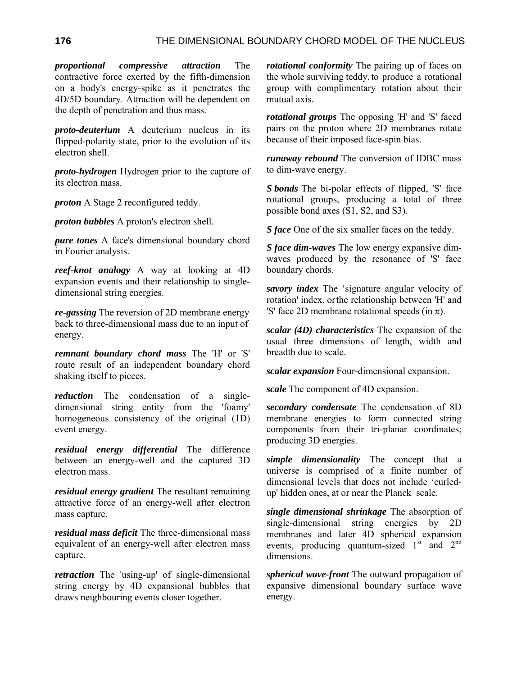*proportional compressive attraction* The contractive force exerted by the fifth-dimension on a body's energy-spike as it penetrates the 4D/5D boundary. Attraction will be dependent on the depth of penetration and thus mass.

*proto-deuterium* A deuterium nucleus in its flipped-polarity state, prior to the evolution of its electron shell.

*proto-hydrogen* Hydrogen prior to the capture of its electron mass.

*proton* A Stage 2 reconfigured teddy.

*proton bubbles* A proton's electron shell.

*pure tones* A face's dimensional boundary chord in Fourier analysis.

*reef-knot analogy* A way at looking at 4D expansion events and their relationship to singledimensional string energies.

*re-gassing* The reversion of 2D membrane energy back to three-dimensional mass due to an input of energy.

*remnant boundary chord mass* The 'H' or 'S' route result of an independent boundary chord shaking itself to pieces.

*reduction* The condensation of a singledimensional string entity from the 'foamy' homogeneous consistency of the original (1D) event energy.

*residual energy differential* The difference between an energy-well and the captured 3D electron mass.

*residual energy gradient* The resultant remaining attractive force of an energy-well after electron mass capture.

*residual mass deficit* The three-dimensional mass equivalent of an energy-well after electron mass capture.

*retraction* The 'using-up' of single-dimensional string energy by 4D expansional bubbles that draws neighbouring events closer together.

*rotational conformity* The pairing up of faces on the whole surviving teddy, to produce a rotational group with complimentary rotation about their mutual axis.

*rotational groups* The opposing 'H' and 'S' faced pairs on the proton where 2D membranes rotate because of their imposed face-spin bias.

*runaway rebound* The conversion of IDBC mass to dim-wave energy.

*S bonds* The bi-polar effects of flipped, 'S' face rotational groups, producing a total of three possible bond axes (S1, S2, and S3).

*S face* One of the six smaller faces on the teddy.

*S face dim-waves* The low energy expansive dimwaves produced by the resonance of 'S' face boundary chords.

*savory index* The 'signature angular velocity of rotation' index, or the relationship between 'H' and 'S' face 2D membrane rotational speeds (in  $\pi$ ).

*scalar (4D) characteristics* The expansion of the usual three dimensions of length, width and breadth due to scale.

*scalar expansion* Four-dimensional expansion.

*scale* The component of 4D expansion.

*secondary condensate* The condensation of 8D membrane energies to form connected string components from their tri-planar coordinates; producing 3D energies.

*simple dimensionality* The concept that a universe is comprised of a finite number of dimensional levels that does not include 'curledup' hidden ones, at or near the Planck scale.

*single dimensional shrinkage* The absorption of single-dimensional string energies by 2D membranes and later 4D spherical expansion events, producing quantum-sized  $1<sup>st</sup>$  and  $2<sup>nd</sup>$ dimensions.

*spherical wave-front* The outward propagation of expansive dimensional boundary surface wave energy.